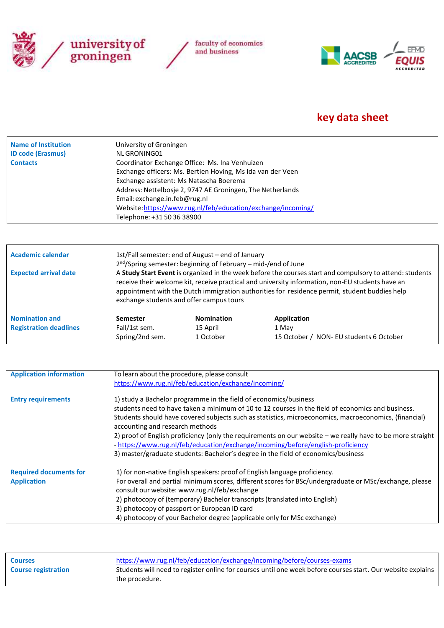



## **key data sheet**

| Telephone: +31 50 36 38900 |
|----------------------------|
|----------------------------|

| Academic calendar             |                                                                                                                                                                                                                                                                                                                                                           | 1st/Fall semester: end of August - end of January<br>2 <sup>nd</sup> /Spring semester: beginning of February - mid-/end of June |                                         |  |  |
|-------------------------------|-----------------------------------------------------------------------------------------------------------------------------------------------------------------------------------------------------------------------------------------------------------------------------------------------------------------------------------------------------------|---------------------------------------------------------------------------------------------------------------------------------|-----------------------------------------|--|--|
| <b>Expected arrival date</b>  | A Study Start Event is organized in the week before the courses start and compulsory to attend: students<br>receive their welcome kit, receive practical and university information, non-EU students have an<br>appointment with the Dutch immigration authorities for residence permit, student buddies help<br>exchange students and offer campus tours |                                                                                                                                 |                                         |  |  |
| <b>Nomination and</b>         | Semester                                                                                                                                                                                                                                                                                                                                                  | <b>Nomination</b>                                                                                                               | Application                             |  |  |
| <b>Registration deadlines</b> | Fall/1st sem.                                                                                                                                                                                                                                                                                                                                             | 15 April                                                                                                                        | 1 May                                   |  |  |
|                               | Spring/2nd sem.                                                                                                                                                                                                                                                                                                                                           | 1 October                                                                                                                       | 15 October / NON- EU students 6 October |  |  |

| <b>Application information</b> | To learn about the procedure, please consult                                                                                                                                                  |  |  |
|--------------------------------|-----------------------------------------------------------------------------------------------------------------------------------------------------------------------------------------------|--|--|
|                                | https://www.rug.nl/feb/education/exchange/incoming/                                                                                                                                           |  |  |
| <b>Entry requirements</b>      | 1) study a Bachelor programme in the field of economics/business                                                                                                                              |  |  |
|                                | students need to have taken a minimum of 10 to 12 courses in the field of economics and business.                                                                                             |  |  |
|                                | Students should have covered subjects such as statistics, microeconomics, macroeconomics, (financial)<br>accounting and research methods                                                      |  |  |
|                                | 2) proof of English proficiency (only the requirements on our website - we really have to be more straight<br>- https://www.rug.nl/feb/education/exchange/incoming/before/english-proficiency |  |  |
|                                | 3) master/graduate students: Bachelor's degree in the field of economics/business                                                                                                             |  |  |
| <b>Required documents for</b>  | 1) for non-native English speakers: proof of English language proficiency.                                                                                                                    |  |  |
| <b>Application</b>             | For overall and partial minimum scores, different scores for BSc/undergraduate or MSc/exchange, please<br>consult our website: www.rug.nl/feb/exchange                                        |  |  |
|                                | 2) photocopy of (temporary) Bachelor transcripts (translated into English)                                                                                                                    |  |  |
|                                | 3) photocopy of passport or European ID card                                                                                                                                                  |  |  |
|                                | 4) photocopy of your Bachelor degree (applicable only for MSc exchange)                                                                                                                       |  |  |

| <b>Courses</b>             | https://www.rug.nl/feb/education/exchange/incoming/before/courses-exams                                     |  |
|----------------------------|-------------------------------------------------------------------------------------------------------------|--|
| <b>Course registration</b> | Students will need to register online for courses until one week before courses start. Our website explains |  |
|                            | the procedure.                                                                                              |  |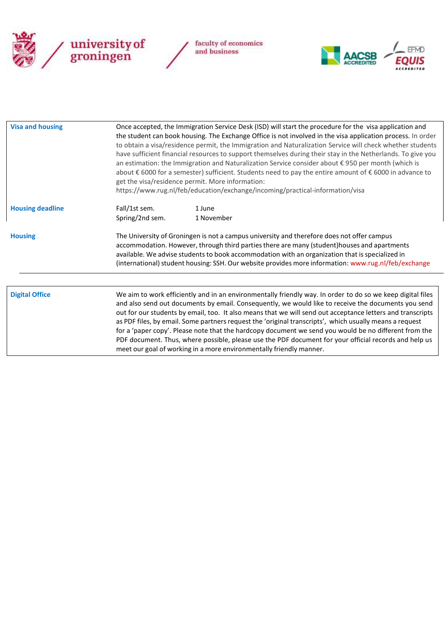



| <b>Visa and housing</b> | Once accepted, the Immigration Service Desk (ISD) will start the procedure for the visa application and<br>the student can book housing. The Exchange Office is not involved in the visa application process. In order<br>to obtain a visa/residence permit, the Immigration and Naturalization Service will check whether students<br>have sufficient financial resources to support themselves during their stay in the Netherlands. To give you<br>an estimation: the Immigration and Naturalization Service consider about € 950 per month (which is<br>about € 6000 for a semester) sufficient. Students need to pay the entire amount of € 6000 in advance to<br>get the visa/residence permit. More information:<br>https://www.rug.nl/feb/education/exchange/incoming/practical-information/visa |  |  |
|-------------------------|----------------------------------------------------------------------------------------------------------------------------------------------------------------------------------------------------------------------------------------------------------------------------------------------------------------------------------------------------------------------------------------------------------------------------------------------------------------------------------------------------------------------------------------------------------------------------------------------------------------------------------------------------------------------------------------------------------------------------------------------------------------------------------------------------------|--|--|
| <b>Housing deadline</b> | Fall/1st sem.<br>1 June<br>Spring/2nd sem.<br>1 November                                                                                                                                                                                                                                                                                                                                                                                                                                                                                                                                                                                                                                                                                                                                                 |  |  |
| <b>Housing</b>          | The University of Groningen is not a campus university and therefore does not offer campus<br>accommodation. However, through third parties there are many (student)houses and apartments<br>available. We advise students to book accommodation with an organization that is specialized in<br>(international) student housing: SSH. Our website provides more information: www.rug.nl/feb/exchange                                                                                                                                                                                                                                                                                                                                                                                                     |  |  |
| <b>Digital Office</b>   | We aim to work efficiently and in an environmentally friendly way. In order to do so we keep digital files<br>and also send out documents by email. Consequently, we would like to receive the documents you send<br>out for our students by email, too. It also means that we will send out acceptance letters and transcripts<br>as PDF files, by email. Some partners request the 'original transcripts', which usually means a request<br>for a 'paper copy'. Please note that the hardcopy document we send you would be no different from the<br>PDF document. Thus, where possible, please use the PDF document for your official records and help us<br>meet our goal of working in a more environmentally friendly manner.                                                                      |  |  |